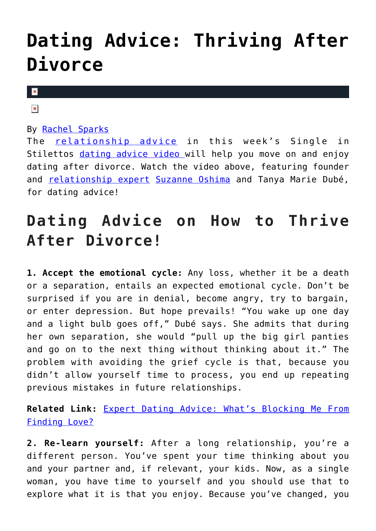## **[Dating Advice: Thriving After](https://cupidspulse.com/125808/dating-advice-thriving-after-divorce/) [Divorce](https://cupidspulse.com/125808/dating-advice-thriving-after-divorce/)**

 $\mathbf x$ 

## $\pmb{\times}$

## By [Rachel Sparks](http://cupidspulse.com/121112/rachel-sparks/)

The [relationship advice](http://cupidspulse.com/relationship-experts/) in this week's Single in Stilettos [dating advice video](http://cupidspulse.com/videos/dating-advice-videos/) will help you move on and enjoy dating after divorce. Watch the video above, featuring founder and [relationship expert](http://cupidspulse.com/relationship-experts/) [Suzanne Oshima](http://cupidspulse.com/relationship-experts/suzanne-oshima-robert-manni/) and Tanya Marie Dubé, for dating advice!

## **Dating Advice on How to Thrive After Divorce!**

**1. Accept the emotional cycle:** Any loss, whether it be a death or a separation, entails an expected emotional cycle. Don't be surprised if you are in denial, become angry, try to bargain, or enter depression. But hope prevails! "You wake up one day and a light bulb goes off," Dubé says. She admits that during her own separation, she would "pull up the big girl panties and go on to the next thing without thinking about it." The problem with avoiding the grief cycle is that, because you didn't allow yourself time to process, you end up repeating previous mistakes in future relationships.

**Related Link:** [Expert Dating Advice: What's Blocking Me From](http://cupidspulse.com/122792/expert-dating-advice-whats-blocking-me-from-finding-love/) [Finding Love?](http://cupidspulse.com/122792/expert-dating-advice-whats-blocking-me-from-finding-love/)

**2. Re-learn yourself:** After a long relationship, you're a different person. You've spent your time thinking about you and your partner and, if relevant, your kids. Now, as a single woman, you have time to yourself and you should use that to explore what it is that you enjoy. Because you've changed, you